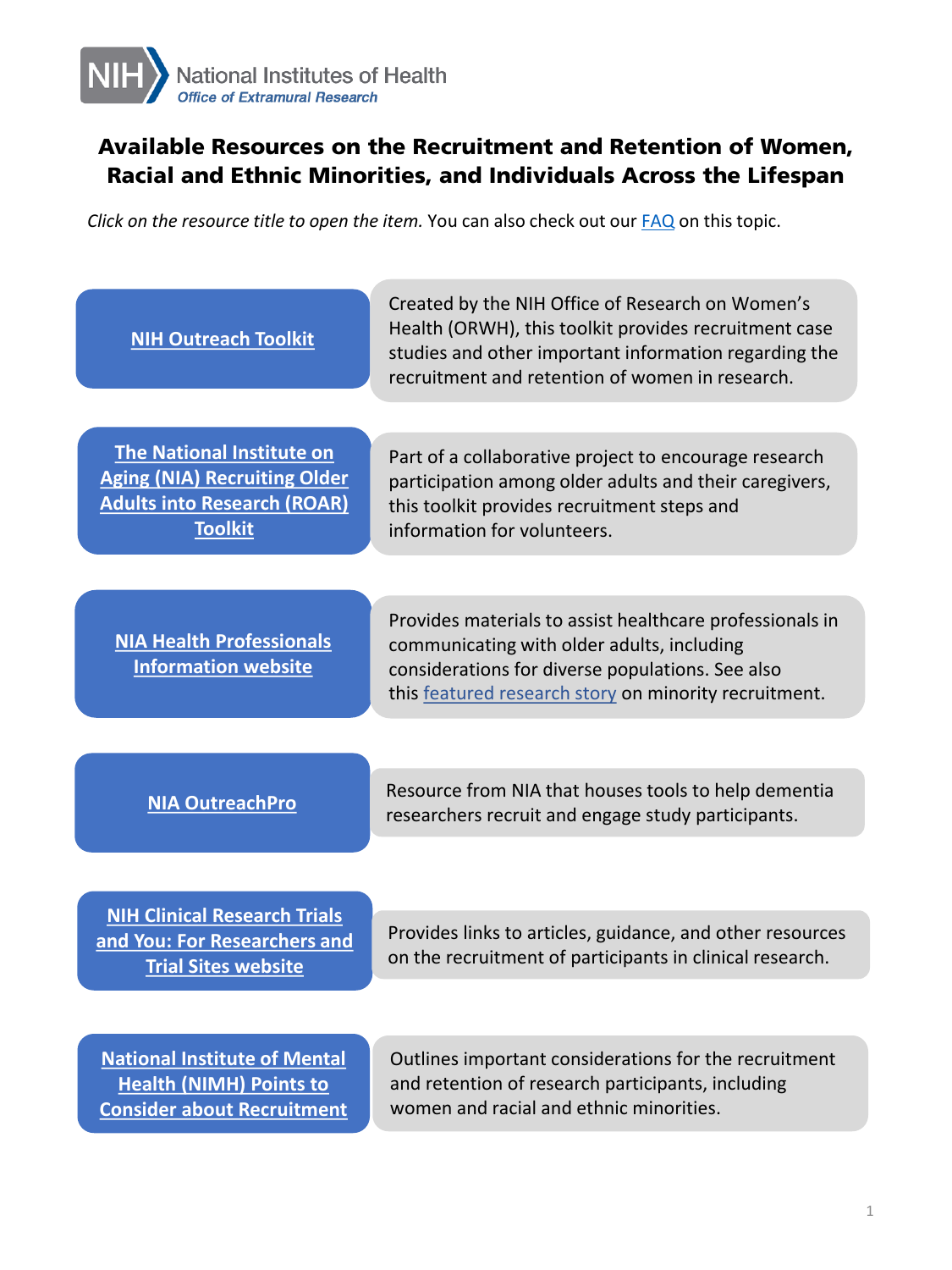

## **Available Resources on the Recruitment and Retention of Women, Racial and Ethnic Minorities, and Individuals Across the Lifespan**

*Click on the resource title to open the item.* You can also check out our **[FAQ](https://grants.nih.gov/faqs#/inclusion-across-the-lifespan.htm?anchor=question55315)** on this topic.

| <b>NIH Outreach Toolkit</b>                                                                                                     | Created by the NIH Office of Research on Women's<br>Health (ORWH), this toolkit provides recruitment case<br>studies and other important information regarding the<br>recruitment and retention of women in research. |
|---------------------------------------------------------------------------------------------------------------------------------|-----------------------------------------------------------------------------------------------------------------------------------------------------------------------------------------------------------------------|
|                                                                                                                                 |                                                                                                                                                                                                                       |
| <b>The National Institute on</b><br><b>Aging (NIA) Recruiting Older</b><br><b>Adults into Research (ROAR)</b><br><b>Toolkit</b> | Part of a collaborative project to encourage research<br>participation among older adults and their caregivers,<br>this toolkit provides recruitment steps and<br>information for volunteers.                         |
|                                                                                                                                 |                                                                                                                                                                                                                       |
| <b>NIA Health Professionals</b><br><b>Information website</b>                                                                   | Provides materials to assist healthcare professionals in<br>communicating with older adults, including<br>considerations for diverse populations. See also<br>this featured research story on minority recruitment.   |
|                                                                                                                                 |                                                                                                                                                                                                                       |
| <b>NIA OutreachPro</b>                                                                                                          | Resource from NIA that houses tools to help dementia<br>researchers recruit and engage study participants.                                                                                                            |
|                                                                                                                                 |                                                                                                                                                                                                                       |
| <b>NIH Clinical Research Trials</b>                                                                                             |                                                                                                                                                                                                                       |
| and You: For Researchers and<br><b>Trial Sites website</b>                                                                      | Provides links to articles, guidance, and other resources<br>on the recruitment of participants in clinical research.                                                                                                 |
|                                                                                                                                 |                                                                                                                                                                                                                       |
| <b>National Institute of Mental</b><br><b>Health (NIMH) Points to</b><br><b>Consider about Recruitment</b>                      | Outlines important considerations for the recruitment<br>and retention of research participants, including<br>women and racial and ethnic minorities.                                                                 |